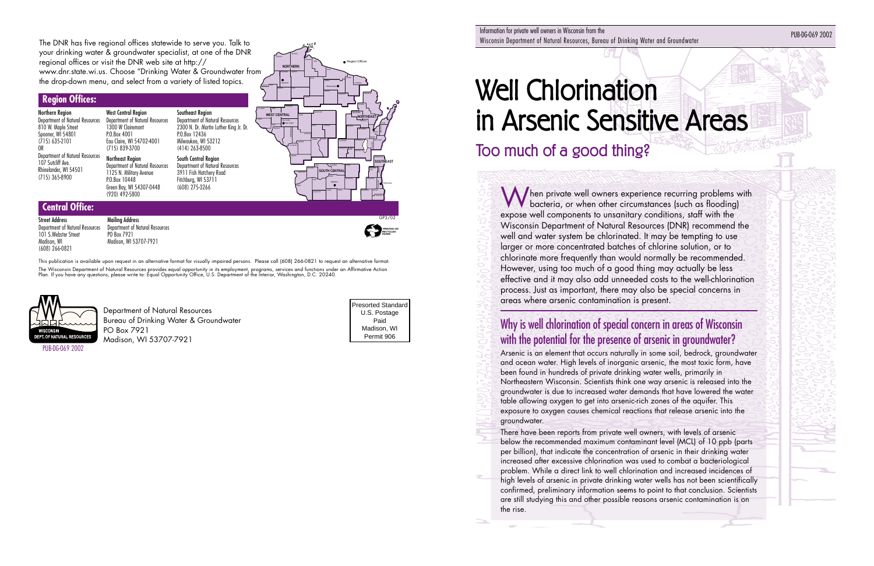# Well Chlorination in Arsenic Sensitive Areas

## Too much of a good thing?

When private well owners experience recurring problems with bacteria, or when other circumstances (such as flooding) expose well components to unsanitary conditions, staff with the Wisconsin Department of Natural Resources (DNR) recommend the well and water system be chlorinated. It may be tempting to use larger or more concentrated batches of chlorine solution, or to chlorinate more frequently than would normally be recommended. However, using too much of a good thing may actually be less effective and it may also add unneeded costs to the well-chlorination process. Just as important, there may also be special concerns in areas where arsenic contamination is present.

### Why is well chlorination of special concern in areas of Wisconsin with the potential for the presence of arsenic in groundwater?

Arsenic is an element that occurs naturally in some soil, bedrock, groundwater and ocean water. High levels of inorganic arsenic, the most toxic form, have been found in hundreds of private drinking water wells, primarily in Northeastern Wisconsin. Scientists think one way arsenic is released into the groundwater is due to increased water demands that have lowered the water table allowing oxygen to get into arsenic-rich zones of the aquifer. This exposure to oxygen causes chemical reactions that release arsenic into the groundwater.

There have been reports from private well owners, with levels of arsenic below the recommended maximum contaminant level (MCL) of 10 ppb (parts per billion), that indicate the concentration of arsenic in their drinking water increased after excessive chlorination was used to combat a bacteriological problem. While a direct link to well chlorination and increased incidences of high levels of arsenic in private drinking water wells has not been scientifically confirmed, preliminary information seems to point to that conclusion. Scientists are still studying this and other possible reasons arsenic contamination is on the rise.

#### **Region Offices:**

Northern Region Department of Natural Resources 810 W. Maple Street Spooner, WI 54801 (715) 635-2101 OR Department of Natural Resources 107 Sutcliff Ave. Rhinelander, WI 54501 (715) 365-8900

Green Bay, WI 54307-0448 (920) 492-5800

West Central Region Department of Natural Resources 1300 W Clairemont P.O.Box 4001 Eau Claire, WI 54702-4001 (715) 839-3700 Northeast Region Department of Natural Resources 1125 N. Military Avenue P.O.Box 10448 Southeast Region Department of Natural Resources 2300 N. Dr. Martin Luther King Jr. Dr. P.O.Box 12436 Milwaukee, WI 53212 (414) 263-8500 South Central Region Department of Natural Resources 3911 Fish Hatchery Road Fitchburg, WI 53711

(608) 275-3266

**Central Office:**

Street Address

Department of Natural Resources 101 S.Webster Street Madison, WI (608) 266-0821

Mailing Address

Department of Natural Resources

PO Box 7921 Madison, WI 53707-7921  **PRINTED ON RECYCLED PAPER**

Information for private well owners in Wisconsin from the miomianon for private well owners in wisconsin from the<br>Wisconsin Department of Natural Resources, Bureau of Drinking Water and Groundwater Public Public Public Public Pu

Presorted Standard U.S. Postage Paid Madison, WI Permit 906

The DNR has five regional offices statewide to serve you. Talk to your drinking water & groundwater specialist, at one of the DNR regional offices or visit the DNR web site at http:// www.dnr.state.wi.us. Choose "Drinking Water & Groundwater from the drop-down menu, and select from a variety of listed topics.

> Department of Natural Resources Bureau of Drinking Water & Groundwater PO Box 7921 Madison, WI 53707-7921

This publication is available upon request in an alternative format for visually impaired persons. Please call (608) 266-0821 to request an alternative format. The Wisconsin Department of Natural Resources provides equal opportunity in its employment, programs, services and functions under an Affirmative Action Plan. If you have any questions, please write to: Equal Opportunity Office, U.S. Department of the Interior, Washington, D.C. 20240.





PUB-DG-069 2002